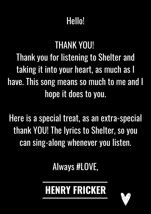## Hello!

## THANK YOU!

Thank you for listening to Shelter and taking it into your heart, as much as I have. This song means so much to me and I hope it does to you.

Here is a special treat, as an extra-special thank YOU! The lyrics to Shelter, so you can sing-along whenever you listen.

## Always #LOVE,

## HENRY FRIGKER